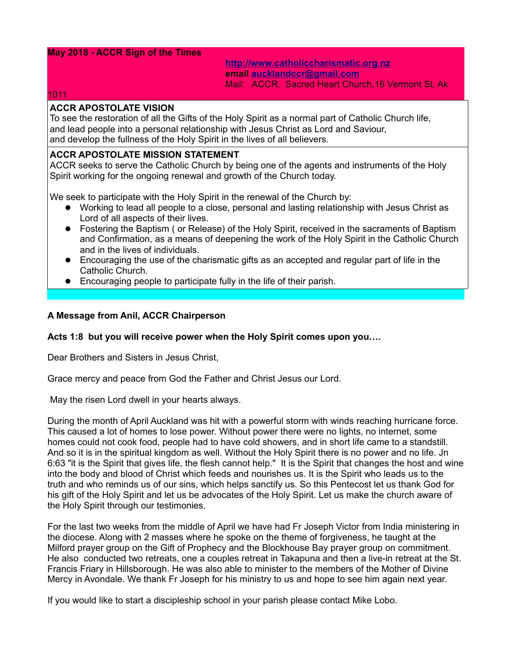# **May 2018 - ACCR Sign of the Times**

**[http://www.catholiccharismatic.org.nz](http://www.catholiccharismatic.org.nz/)  email [aucklandccr@gmail.com](mailto:aucklandccr@gmail.com)** Mail: ACCR, Sacred Heart Church,16 Vermont St, Ak

#### 1011

# **ACCR APOSTOLATE VISION**

To see the restoration of all the Gifts of the Holy Spirit as a normal part of Catholic Church life, and lead people into a personal relationship with Jesus Christ as Lord and Saviour, and develop the fullness of the Holy Spirit in the lives of all believers.

#### **ACCR APOSTOLATE MISSION STATEMENT**

ACCR seeks to serve the Catholic Church by being one of the agents and instruments of the Holy Spirit working for the ongoing renewal and growth of the Church today.

We seek to participate with the Holy Spirit in the renewal of the Church by:

- Working to lead all people to a close, personal and lasting relationship with Jesus Christ as Lord of all aspects of their lives.
- Fostering the Baptism ( or Release) of the Holy Spirit, received in the sacraments of Baptism and Confirmation, as a means of deepening the work of the Holy Spirit in the Catholic Church and in the lives of individuals.
- Encouraging the use of the charismatic gifts as an accepted and regular part of life in the Catholic Church.
- Encouraging people to participate fully in the life of their parish.

# **A Message from Anil, ACCR Chairperson**

# **Acts 1:8 but you will receive power when the Holy Spirit comes upon you….**

Dear Brothers and Sisters in Jesus Christ,

Grace mercy and peace from God the Father and Christ Jesus our Lord.

May the risen Lord dwell in your hearts always.

During the month of April Auckland was hit with a powerful storm with winds reaching hurricane force. This caused a lot of homes to lose power. Without power there were no lights, no internet, some homes could not cook food, people had to have cold showers, and in short life came to a standstill. And so it is in the spiritual kingdom as well. Without the Holy Spirit there is no power and no life. Jn 6:63 "it is the Spirit that gives life, the flesh cannot help." It is the Spirit that changes the host and wine into the body and blood of Christ which feeds and nourishes us. It is the Spirit who leads us to the truth and who reminds us of our sins, which helps sanctify us. So this Pentecost let us thank God for his gift of the Holy Spirit and let us be advocates of the Holy Spirit. Let us make the church aware of the Holy Spirit through our testimonies.

For the last two weeks from the middle of April we have had Fr Joseph Victor from India ministering in the diocese. Along with 2 masses where he spoke on the theme of forgiveness, he taught at the Milford prayer group on the Gift of Prophecy and the Blockhouse Bay prayer group on commitment. He also conducted two retreats, one a couples retreat in Takapuna and then a live-in retreat at the St. Francis Friary in Hillsborough. He was also able to minister to the members of the Mother of Divine Mercy in Avondale. We thank Fr Joseph for his ministry to us and hope to see him again next year.

If you would like to start a discipleship school in your parish please contact Mike Lobo.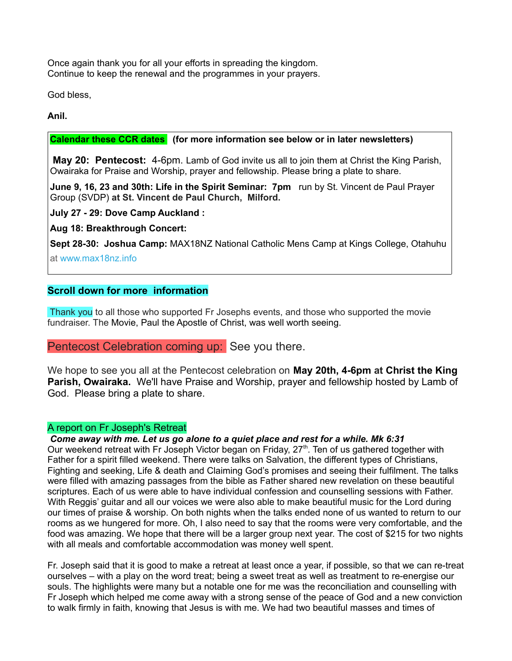Once again thank you for all your efforts in spreading the kingdom. Continue to keep the renewal and the programmes in your prayers.

God bless,

**Anil.**

# **Calendar these CCR dates (for more information see below or in later newsletters)**

**May 20: Pentecost:** 4-6pm. Lamb of God invite us all to join them at Christ the King Parish, Owairaka for Praise and Worship, prayer and fellowship. Please bring a plate to share.

**June 9, 16, 23 and 30th: Life in the Spirit Seminar: 7pm** run by St. Vincent de Paul Prayer Group (SVDP) **at St. Vincent de Paul Church, Milford.**

**July 27 - 29: Dove Camp Auckland :** 

**Aug 18: Breakthrough Concert:** 

**Sept 28-30: Joshua Camp:** MAX18NZ National Catholic Mens Camp at Kings College, Otahuhu at [www.max18nz.info](https://max18nz.us11.list-manage.com/track/click?u=e18eab0c2ef3f49b33b96ee7b&id=1c847e9037&e=b79ca322dc)

# **Scroll down for more information**

 Thank you to all those who supported Fr Josephs events, and those who supported the movie fundraiser. The Movie, Paul the Apostle of Christ, was well worth seeing.

Pentecost Celebration coming up: See you there.

We hope to see you all at the Pentecost celebration on **May 20th, 4-6pm at Christ the King Parish, Owairaka.** We'll have Praise and Worship, prayer and fellowship hosted by Lamb of God. Please bring a plate to share.

# A report on Fr Joseph's Retreat

*Come away with me. Let us go alone to a quiet place and rest for a while. Mk 6:31* Our weekend retreat with Fr Joseph Victor began on Friday, 27<sup>th</sup>. Ten of us gathered together with Father for a spirit filled weekend. There were talks on Salvation, the different types of Christians, Fighting and seeking, Life & death and Claiming God's promises and seeing their fulfilment. The talks were filled with amazing passages from the bible as Father shared new revelation on these beautiful scriptures. Each of us were able to have individual confession and counselling sessions with Father. With Reggis' guitar and all our voices we were also able to make beautiful music for the Lord during our times of praise & worship. On both nights when the talks ended none of us wanted to return to our rooms as we hungered for more. Oh, I also need to say that the rooms were very comfortable, and the food was amazing. We hope that there will be a larger group next year. The cost of \$215 for two nights with all meals and comfortable accommodation was money well spent.

Fr. Joseph said that it is good to make a retreat at least once a year, if possible, so that we can re-treat ourselves – with a play on the word treat; being a sweet treat as well as treatment to re-energise our souls. The highlights were many but a notable one for me was the reconciliation and counselling with Fr Joseph which helped me come away with a strong sense of the peace of God and a new conviction to walk firmly in faith, knowing that Jesus is with me. We had two beautiful masses and times of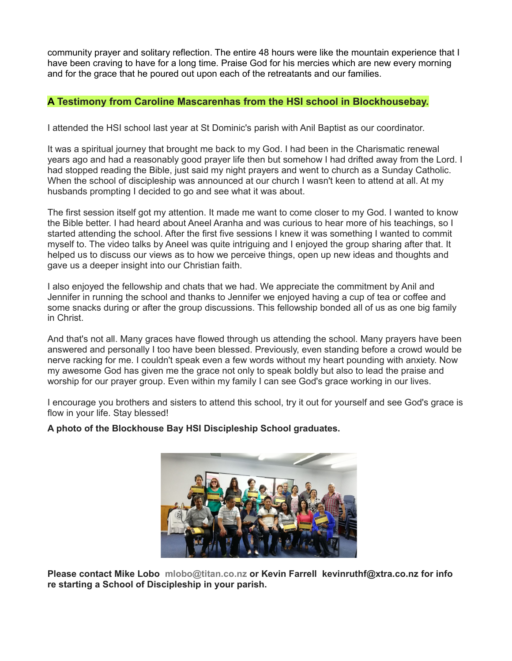community prayer and solitary reflection. The entire 48 hours were like the mountain experience that I have been craving to have for a long time. Praise God for his mercies which are new every morning and for the grace that he poured out upon each of the retreatants and our families.

# **A Testimony from Caroline Mascarenhas from the HSI school in Blockhousebay.**

I attended the HSI school last year at St Dominic's parish with Anil Baptist as our coordinator.

It was a spiritual journey that brought me back to my God. I had been in the Charismatic renewal years ago and had a reasonably good prayer life then but somehow I had drifted away from the Lord. I had stopped reading the Bible, just said my night prayers and went to church as a Sunday Catholic. When the school of discipleship was announced at our church I wasn't keen to attend at all. At my husbands prompting I decided to go and see what it was about.

The first session itself got my attention. It made me want to come closer to my God. I wanted to know the Bible better. I had heard about Aneel Aranha and was curious to hear more of his teachings, so I started attending the school. After the first five sessions I knew it was something I wanted to commit myself to. The video talks by Aneel was quite intriguing and I enjoyed the group sharing after that. It helped us to discuss our views as to how we perceive things, open up new ideas and thoughts and gave us a deeper insight into our Christian faith.

I also enjoyed the fellowship and chats that we had. We appreciate the commitment by Anil and Jennifer in running the school and thanks to Jennifer we enjoyed having a cup of tea or coffee and some snacks during or after the group discussions. This fellowship bonded all of us as one big family in Christ.

And that's not all. Many graces have flowed through us attending the school. Many prayers have been answered and personally I too have been blessed. Previously, even standing before a crowd would be nerve racking for me. I couldn't speak even a few words without my heart pounding with anxiety. Now my awesome God has given me the grace not only to speak boldly but also to lead the praise and worship for our prayer group. Even within my family I can see God's grace working in our lives.

I encourage you brothers and sisters to attend this school, try it out for yourself and see God's grace is flow in your life. Stay blessed!

# **A photo of the Blockhouse Bay HSI Discipleship School graduates.**



**Please contact Mike Lobo mlobo@titan.co.nz or Kevin Farrell [kevinruthf@xtra.co.nz](mailto:kevinruthf@xtra.co.nz) for info re starting a School of Discipleship in your parish.**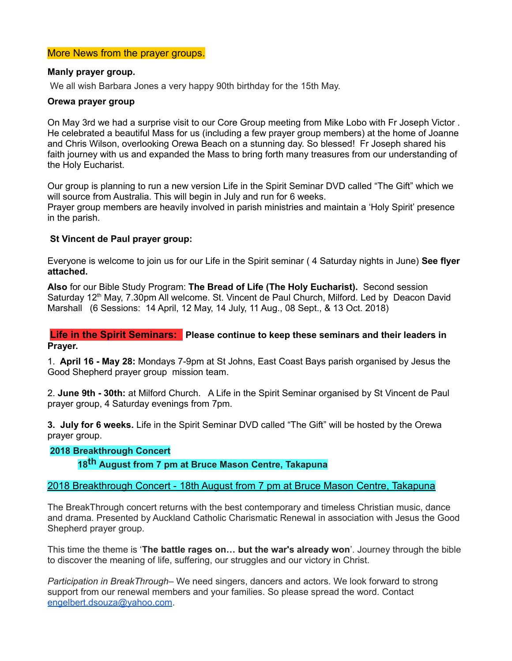# More News from the prayer groups.

# **Manly prayer group.**

We all wish Barbara Jones a very happy 90th birthday for the 15th May.

# **Orewa prayer group**

On May 3rd we had a surprise visit to our Core Group meeting from Mike Lobo with Fr Joseph Victor . He celebrated a beautiful Mass for us (including a few prayer group members) at the home of Joanne and Chris Wilson, overlooking Orewa Beach on a stunning day. So blessed! Fr Joseph shared his faith journey with us and expanded the Mass to bring forth many treasures from our understanding of the Holy Eucharist.

Our group is planning to run a new version Life in the Spirit Seminar DVD called "The Gift" which we will source from Australia. This will begin in July and run for 6 weeks.

Prayer group members are heavily involved in parish ministries and maintain a 'Holy Spirit' presence in the parish.

# **St Vincent de Paul prayer group:**

Everyone is welcome to join us for our Life in the Spirit seminar ( 4 Saturday nights in June) **See flyer attached.** 

**Also** for our Bible Study Program: **The Bread of Life (The Holy Eucharist).** Second session Saturday 12<sup>th</sup> May, 7.30pm All welcome. St. Vincent de Paul Church, Milford. Led by Deacon David Marshall (6 Sessions: 14 April, 12 May, 14 July, 11 Aug., 08 Sept., & 13 Oct. 2018)

**Life in the Spirit Seminars: Please continue to keep these seminars and their leaders in Prayer.**

1. **April 16 - May 28:** Mondays 7-9pm at St Johns, East Coast Bays parish organised by Jesus the Good Shepherd prayer group mission team.

2. **June 9th - 30th:** at Milford Church. A Life in the Spirit Seminar organised by St Vincent de Paul prayer group, 4 Saturday evenings from 7pm.

**3. July for 6 weeks.** Life in the Spirit Seminar DVD called "The Gift" will be hosted by the Orewa prayer group.

# **2018 Breakthrough Concert**

**18th August from 7 pm at Bruce Mason Centre, Takapuna**

# 2018 Breakthrough Concert - 18th August from 7 pm at Bruce Mason Centre, Takapuna

The BreakThrough concert returns with the best contemporary and timeless Christian music, dance and drama. Presented by Auckland Catholic Charismatic Renewal in association with Jesus the Good Shepherd prayer group.

This time the theme is '**The battle rages on… but the war's already won**'. Journey through the bible to discover the meaning of life, suffering, our struggles and our victory in Christ.

*Participation in BreakThrough*– We need singers, dancers and actors. We look forward to strong support from our renewal members and your families. So please spread the word. Contact [engelbert.dsouza@yahoo.com.](mailto:engelbert.dsouza@yahoo.com)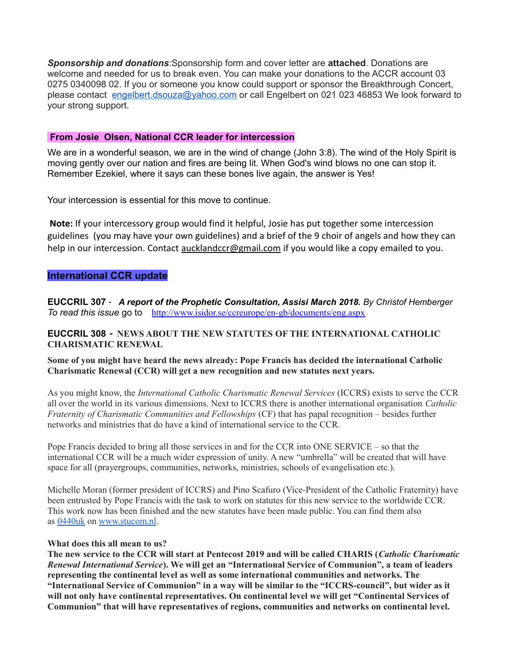*Sponsorship and donations*:Sponsorship form and cover letter are **attached**. Donations are welcome and needed for us to break even. You can make your donations to the ACCR account 03 0275 0340098 02. If you or someone you know could support or sponsor the Breakthrough Concert, please contact [engelbert.dsouza@yahoo.com](mailto:engelbert.dsouza@yahoo.com) or call Engelbert on 021 023 46853 We look forward to your strong support.

#### **From Josie Olsen, National CCR leader for intercession**

We are in a wonderful season, we are in the wind of change (John 3:8). The wind of the Holy Spirit is moving gently over our nation and fires are being lit. When God's wind blows no one can stop it. Remember Ezekiel, where it says can these bones live again, the answer is Yes!

Your intercession is essential for this move to continue.

 **Note:** If your intercessory group would find it helpful, Josie has put together some intercession guidelines (you may have your own guidelines) and a brief of the 9 choir of angels and how they can help in our intercession. Contact [aucklandccr@gmail.com](mailto:aucklandccr@gmail.com) if you would like a copy emailed to you.

# **International CCR update**

**EUCCRIL 307** - *A report of the Prophetic Consultation, Assisi March 2018. By Christof Hemberger To read this issue* [go](http://www.iccrs.eu/) to http://www.isidor.se/ccreurope/en-gb/documents/eng.aspx

# **EUCCRIL 308 - NEWS ABOUT THE NEW STATUTES OF THE INTERNATIONAL CATHOLIC CHARISMATIC RENEWAL**

**Some of you might have heard the news already: Pope Francis has decided the international Catholic Charismatic Renewal (CCR) will get a new recognition and new statutes next years.**

As you might know, the *International Catholic Charismatic Renewal Services* (ICCRS) exists to serve the CCR all over the world in its various dimensions. Next to ICCRS there is another international organisation *Catholic Fraternity of Charismatic Communities and Fellowships* (CF) that has papal recognition – besides further networks and ministries that do have a kind of international service to the CCR.

Pope Francis decided to bring all those services in and for the CCR into ONE SERVICE – so that the international CCR will be a much wider expression of unity. A new "umbrella" will be created that will have space for all (prayergroups, communities, networks, ministries, schools of evangelisation etc.).

Michelle Moran (former president of ICCRS) and Pino Scafuro (Vice-President of the Catholic Fraternity) have been entrusted by Pope Francis with the task to work on statutes for this new service to the worldwide CCR. This work now has been finished and the new statutes have been made public. You can find them also as [0440uk](http://www.stucom.nl/document/0440uk.pdf) on [www.stucom.nl.](http://www.stucom.nl/)

#### **What does this all mean to us?**

**The new service to the CCR will start at Pentecost 2019 and will be called CHARIS (***Catholic Charismatic Renewal International Service***). We will get an "International Service of Communion", a team of leaders representing the continental level as well as some international communities and networks. The "International Service of Communion" in a way will be similar to the "ICCRS-council", but wider as it will not only have continental representatives. On continental level we will get "Continental Services of Communion" that will have representatives of regions, communities and networks on continental level.**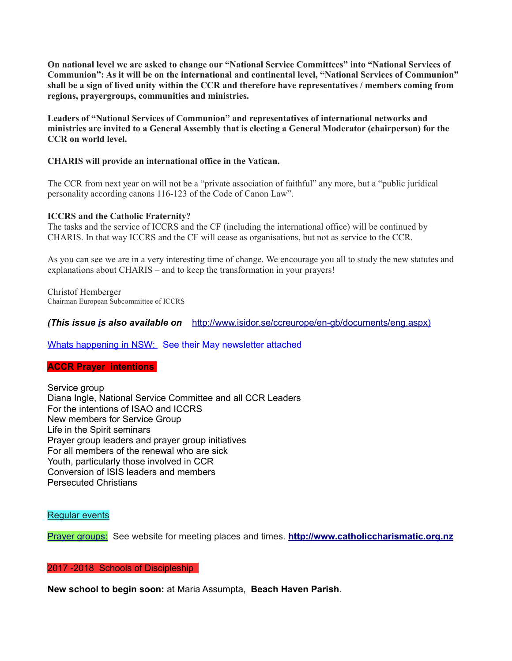**On national level we are asked to change our "National Service Committees" into "National Services of Communion": As it will be on the international and continental level, "National Services of Communion" shall be a sign of lived unity within the CCR and therefore have representatives / members coming from regions, prayergroups, communities and ministries.**

**Leaders of "National Services of Communion" and representatives of international networks and ministries are invited to a General Assembly that is electing a General Moderator (chairperson) for the CCR on world level.**

# **CHARIS will provide an international office in the Vatican.**

The CCR from next year on will not be a "private association of faithful" any more, but a "public juridical personality according canons 116-123 of the Code of Canon Law".

# **ICCRS and the Catholic Fraternity?**

The tasks and the service of ICCRS and the CF (including the international office) will be continued by CHARIS. In that way ICCRS and the CF will cease as organisations, but not as service to the CCR.

As you can see we are in a very interesting time of change. We encourage you all to study the new statutes and explanations about CHARIS – and to keep the transformation in your prayers!

Christof Hemberger Chairman European Subcommittee of ICCRS

*(This issue [is](http://www.iccrs.eu/) also available on* [http://www.isidor.se/ccreurope/en-gb/documents/eng.aspx\)](http://www.isidor.se/ccreurope/en-gb/documents/eng.aspx)

# Whats happening in NSW: See their May newsletter attached

# **ACCR Prayer intentions**

Service group Diana Ingle, National Service Committee and all CCR Leaders For the intentions of ISAO and ICCRS New members for Service Group Life in the Spirit seminars Prayer group leaders and prayer group initiatives For all members of the renewal who are sick Youth, particularly those involved in CCR Conversion of ISIS leaders and members Persecuted Christians

# Regular events

Prayer groups: See website for meeting places and times. **[http://www.catholiccharismatic.org.nz](http://www.catholiccharismatic.org.nz/)**

# 2017 -2018 Schools of Discipleship

**New school to begin soon:** at Maria Assumpta, **Beach Haven Parish**.